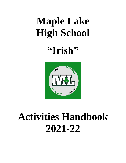# **Maple Lake High School**

**"Irish"**



# **Activities Handbook 2021-22**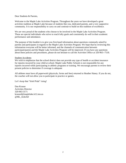Dear Students & Parents,

Welcome to the Maple Lake Activities Program. Throughout the years we have developed a great activities tradition at Maple Lake because of students like you, dedicated parents, and a very supportive community. It is our responsibility to carry on and continue to build on this tradition of excellence.

We are very proud of the students who choose to be involved in the Maple Lake Activities Program. These are special individuals who strive to reach lofty goals and consistently do well in their academic performance and attendance.

The purpose of this booklet is to give you first-hand information about questions commonly asked by parents and participants in regards to the Maple Lake Activities Program. We hope that by reviewing this information everyone will be better informed, and the channels of communication between participant/parent and the Maple Lake Activities Program will be improved. If you have any questions about these policies and procedures, please do not hesitate to call the Activities Office at 320-963--7518.

### **Student Accidents**

We wish to emphasize that the school district does not provide any type of health or accident insurance for injuries incurred by your child at school. Maple Lake Public Schools is not responsible for any injuries incurred while participating in athletic programs or training. We encourage parents to review their present policies to determine if coverage is adequate

All athletes must have all paperwork (physicals, forms and fees) returned to Heather Haney. If you do not, the coaches will not allow you to participate in practice or games.

Let's keep that "Irish Pride" rising!

Dan Krause Activities Director 320-963-3171 kraused@maplelake.k12.mn.us @ML\_IrishAD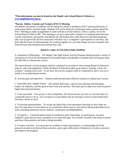# **\*This information can also be found on the Maple Lake School District Website at [www.maplelake.k12.mn.us](http://www.maplelake.k12.mn.us/) .**

# **\*Parent, Athlete, Coaches and Trainers (PACT) Meeting**

All athletes and parents of athletes will be required to attend a mandatory PACT meeting held prior to each season before activities begin. Students will not be allowed to participate unless parents attend the PACT Meeting or make arrangements to meet with the activities director. This is a policy set by the School Board of District 881. This meeting is set up to open better channels of communication between coaches and parents, get parents and athletes the information they need about the individual programs, take care of paperwork and fees associated with their son's or daughter's participation in activities, and deal with the issues of sportsmanship. By working together we can make things run more smoothly and head off most miscommunications before they start.

# **MAPLE LAKE ACTIVITIES PHILOSOPHY**

A. Statement of Philosophy – The Maple Lake High School Activity Program should provide a variety of experiences to aid in the development of favorable habits and attitudes in students that will prepare them for adult life in a democratic society.

The interscholastic activity program shall be conducted in accordance with existing Board of Education policies, rules and regulations. While the Board of Education takes great pride in winning, it does not condone "winning at all costs." At all times the activity program must be conducted in such a way as to justify it as an educational activity.

B. Activity goal and objectives – Students shall become more effective citizens in a democratic society.

1. OUR SPECIFIC OBJECTIVES – The student shall learn: a person must develop self-discipline, respect for authority, and the spirit of hard work and sacrifice. The team and its objectives must be placed higher than personal desires.

2. To be successful – Our society is very competitive. We do not always win, but we succeed when we continually strive to do so. You can learn to accept defeat only by striving to win by earnest dedication. Develop a desire to excel.

3. To develop sportsmanship – To accept any defeat like a true sportsman knowing we have done our best. We must learn to treat others as we would have others treat us. We need to develop desirable social traits, including emotional control, honesty, cooperation and dependability.

4. To improve – Continual improvement is essential to good citizenship. As participants, you must establish a goal and you must constantly try to reach that goal. Try to better yourself in the skills involved and those characteristics set forth as being desirable.

5. To enjoy activities – It is necessary for students to enjoy participation, to acknowledge all of the personal rewards to be derived from activities, and to give sufficiently of themselves in order to preserve and improve the program.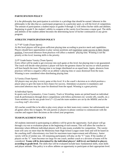# **PARTICIPATION POLICY**

It is the philosophy that participation in activities is a privilege that should be earned. Inherent in this philosophy is the idea that as a participant progresses in a particular sport, so will the level of competition. The amount of participation a student enjoys in grades 9 through 12 will reflect his/her skills and abilities. Beginning in grade 9, the student's ability to compete at the varsity level becomes a major goal. The skills and abilities of the student athlete becomes the determining factor of his/her continuation in any given program.

# **ATHLETIC PARTICIPATION POLICY**

# 1)  $7<sup>th</sup>$ -8<sup>th</sup> Grade (Team Sports)

At this level players will be given sufficient playing time according to practice merit and capabilities. Players should have opportunities to play various positions and experience some success in their chosen position. Unexcused absences from practices will affect a students' playing time. Winning is not the priority at this level; learning skills is the priority.

# 2) 9th Grade/Junior Varsity (Team Sports)

Every effort will be made to get everyone into each game at this level, but playing time is not guaranteed. The coach will decide what position a player will have the greatest chance for success or which position will best benefit the team. Playing time is no longer distributed on an equal basis. Again, absences from practices will have a negative effect on an athlete's playing time or cause dismissal from the team. Winning is now considered when distributing playing time.

# 3) Varsity (Team Sports)

All players may not play in every game at this level. It is the coach's decision as to which position a player plays to give the team its best chance for success. Attendance at practice is mandatory and unexcused absences may be cause for dismissal from the squad. Winning is a great priority.

# 4) Individual Sports

In sports such as Gymnastics, Cross Country, Track or Wrestling, teams are picked based on individual trials & performances through direct competitions with fellow performers (ie: wrestle offs, runoffs, etc.) *Team members can be any grade level (7--12) and the team numbers are set by the MSHSL and at the coaching staff's discretion.*

All coaches would like to be able to play every player on their team every contest, but unfortunately not all games allow this to happen. We ask parents or players to please continue to communicate with the coaches and support their decisions as the school year progresses.

# **TEAM PLACEMENT POLICY**

All students interested in participating in athletics will be given the opportunity. Each player will go through a try-out or evaluation phase at the beginning of each season. This will allow the coaches to determine where different individual players will fit onto teams available for competition. The varsity team will carry no more than the Minnesota State High School League roster limit and will be based on the coaching staff's discretionary size limit for maximum team improvement and efficiency. Junior varsity will be of similar size. All remaining participants will play on the "C" team. If the number of players on the "C" team becomes too large for one coach, another coach or a division of teams will be considered. **Teams will be determined by the individual players' skill level, not limited to players according to grade level.** The skills that will be evaluated include basic fundamental skills, team skills and player attitude. This policy is to allow athletes an opportunity to participate at their appropriate level.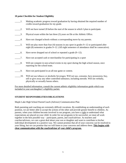# **10 point Checklist for Student Eligibility**

| 1.  | Making academic progress toward graduation by having obtained the required number of<br>credits toward graduation for my grade.                                                                                                |
|-----|--------------------------------------------------------------------------------------------------------------------------------------------------------------------------------------------------------------------------------|
| 2.  | Will not have turned 20 before the start of the season in which I plan to participate.                                                                                                                                         |
| 3.  | Physical exam within the last three (3) years on file at the Athletic Office.                                                                                                                                                  |
| 4.  | Have not changed schools without a corresponding move by my parents.                                                                                                                                                           |
| 5.  | Will not play more than four (4) seasons in any sport in grades 9--12 or participated after<br>eight (8) semesters in grades 9--12. (All eight semesters of attendance shall be consecutive).                                  |
| 6.  | Have never dropped out of school or repeated a grade (9--12).                                                                                                                                                                  |
| 7.  | Have not accepted cash or merchandise for participating in a sport                                                                                                                                                             |
| 8.  | Will not compete in non-school events in my sport during the high school season, once<br>reporting for the school team.                                                                                                        |
| 9.  | Have not participated in an all-star game or contest.                                                                                                                                                                          |
| 10. | Will not use tobacco or alcoholic beverages; Will not use, consume, have possession, buy,<br>sell or give away any other controlled substance, including steroids. Will not verbally,<br>physically or sexually harass others. |

For more detailed information, consult the current athletic eligibility information guide which was included in your son/daughter's eligibility packet.

# **STUDENT RESPONSIBILITIES/OBLIGATIONS**

Maple Lake High School Parent/Coach (Advisor) Communication Plan

Both parenting and coaching are extremely difficult vocations. By establishing an understanding of each position, we are better able to accept the actions of the other and provide greater benefit to children. As parents, when your children become involved in our program, you have a right to understand what expectations are placed on your child. In order for our programs to be successful, we must all work together in the best possible way – participant, parent, and coach/advisor. As teachers and coaches/advisors, we care a great deal about your son or daughter and want to contribute to his/her individual development in a positive way. We cannot promise that all of your concerns can be resolved to your liking, but we can promise that we will listen to your concerns and address them. **This begins with clear communication with the coach/advisor of your child's program.**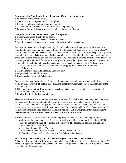# **Communication You Should Expect from Your Child's Coach/Advisor:**

- 1. Philosophy of the coach/advisor.
- 2. Coach's/advisor's expectations (i.e. discipline)
- 3. Locations and times of all practices and contests.
- 4. Team/activity requirements (i.e. practices, special equipment)
- 5. Procedure followed should your child be injured during participation.

# **Communication Coaches/Advisors Expect from parents:**

- 1. Concerns expressed directly to the coach.
- 2. Notification of any schedule conflicts well in advance.
- 3. Specific concerns with regard to a coach's philosophy and/or expectations.

Participation in activities at Maple Lake High School can be a rewarding experience. However, it is important to understand that there may be times when things do not go as you or your child wishes. We must all keep in mind that the coach/advisor must work with a particular activity and keep a larger picture in mind, not just what is best for an individual participant. Also, keep in mind that coaches/advisors see participants at each practice, and that they are constantly evaluating in order to determine who deserves to play and participate in order for the team/activity to compete at the highest level possible. There can be factors other than ability and individual performance which enhance participation. At these times, discussion with the coach/advisor is encouraged. Some appropriate concerns to discuss with coaches/advisors are:

- 1. The treatment of your child, mentally and physically.
- 2. Ways to help your child improve.
- 3. Concerns about your child's behavior.

Coaches/advisors are professionals. They make judgment decisions based on what they believe to be best for all students involved. Therefore, there are some concerns which must be left to the discretion of the coach/advisor:

- 1. Other students/athletes (please do not ask coaches/advisors to discuss another player/participant).
- 2. Team strategy and play calling.
- 3. Playing time for individual participants.

There are situations that may require a conference between the coach/advisor and the parent. These are to be encouraged. It is important that both parties involved have a clear understanding of the other's position. At the varsity level, if a participant is unclear of his/her role on the team, including his/her playing time, we encourage the participant to discuss his/her situation with the Head Coach/Advisor. If the situation remains unclear, please use the steps listed below. **If playing time is the main concern, please be aware that this is at the Head Coach's/Advisor's discretion.**

- 1. When conferences are necessary, the following procedure must be followed to help promote a resolution to the issue or concern. A concern involving an athletic or non-athletic activity MUST follow an appropriate chain of command to be resolved. The appropriate chain of command is: a. Participant - Coach/Advisor
	- b. Participant/Parent Coach/Advisor
	- c. \*Participant/Parent Coach/Advisor Activities Director (A.D.)
	- d. \*Participant/Parent Coach/Advisor A.D. School Administrator

# **\*Parent may have a third party with them during the conference if they so desire.**

All communication begins with the participant and the coach/advisor of their level of activity. (i.e.: A  $7<sup>th</sup>$ grade participant will express any concerns with his/her  $7<sup>th</sup>$  grade coach/advisor before going to the head coach/advisor of that activity).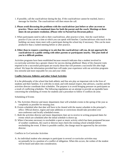- 1. If possible, call the coach/advisor during the day. If the coach/advisor cannot be reached, leave a message for him/her. The coach/advisor will then return the call.
- **2. Please avoid discussing the problems with the coach/advisor just before or after an event or practice. These can be emotional times for both the parent and the coach. Meetings at these times do not promote resolution. (Please refer to Parent/Fan Decorum policy)**
- 3. When participants need to talk to their coach/advisor, after practice is best. Ask the coach before practice if you can set a time at which you can speak with him/her. Coaches/advisors who teach in the building can many times meet with a participant during the school day if necessary. This can be more productive than a rushed meeting before or after practice.

# **4. Other than to request a meeting or to ask that the coach/advisor call you, do not approach the coach/advisor in a public setting with other parents or participants nearby. This puts both of you in a difficult position.**

Activities programs have been established because research indicates that a student involved in co-curricular activities has a greater chance for success during adulthood. Many of the character traits required to be a successful participant are exactly those that will promote a successful life after high school. We hope the information provided here will make your experience with our activities programs less stressful and more enjoyable for you and your child.

### **Conflict between Athletics and other School Activities**

It is the philosophy of the school that both athletic and fine arts play an important role in the lives of students and their families. It is with this in mind, and with mutual respect, that advisors, coaches and the activities director coordinate their schedules. The purpose is to avoid bringing pressure on participants as a result of conflicting schedules. The following regulations are an attempt to provide an equitable basis concerning the scheduling of events for students and a procedure to follow if conflicts do arise.

# Scheduling of Events

- A. The Activities Director and music department chair will schedule events in the spring of the year as completely as possible for ensuing year.
- B. Events scheduled after that date will have to be cleared with the master schedule in the principal's office. Official district, region and state additions or corrections should take precedent over non-conference and locally scheduled events.
- C. Both the activities director and music department chair are to receive in writing proposed dates for events which are scheduled after the initial schedule is drawn up.
- D. When it becomes necessary to reschedule a sport or music activity which has been postponed because of weather conditions, the coach or director must check the existing school schedule before rescheduling the event. If there is possible conflict, the change must be approved by the activities director.

### Conflicts in Co-Curricular Activities

A. An individual student who attempts to participate in several co-curricular activities may occasionally be in a position of a conflict of obligation. When this occurs, the wishes of the student will be heard and taken into consideration.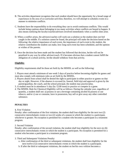- B. The activities department recognizes that each student should have the opportunity for a broad range of experiences in the area of co-curricular activities; therefore, we will attempt to schedule events in a manner to minimize conflicts.
- C. Students have the responsibility to do everything they can to avoid continuous conflicts. This would include being cautious about belonging to too many activities where conflicts are bound to happen. It also means notifying the faculty/coaches/advisors involved immediately when a conflict does arise.
- D. When a conflict arises, the advisors/coaches will work out a solution so the student does not feel caught in the middle. If a solution cannot be found, the principal will make the decision based on the following: the relative importance of each event, the importance of each event to the student, the relative contribution the student can make, how long each event has been scheduled, and the opinion or wishes of the parents.
- E. Once the decision has been made and the student has followed that decision, he/she will not be penalized in any way by either advisor/coach. If it becomes obvious that a student cannot fulfill the obligation of a school activity, he/she should withdraw from that activity.

# **Eligibility**

Eligibility requirements shall be those set forth by the MSHSL as well as the following:

1. Players must attend a minimum of one week 5 days of practice before becoming eligible for games and must also comply with minimum rules as set forth by the MSHSL.

- 2. Players absent from school shall be denied the right to participate in either practice or games on that day or night. However, if the absence is excused (ie. funeral, field trip) and approval is given by the parent/guardian, the coach, and the school principal, the student may practice/play.
- 3. A student must be in attendance ½ day (by 12:00 noon) to practice or compete in a game.
- 4. The MSHSL Rule for Chemical Eligibility will be as follows: During the calendar year, regardless of quantity, a student shall not: a) possess or use a beverage containing alcohol b) possess or use tobacco, and/or c) use or consume, have in possession, buy sell or give away any other controlled substance.

# **PENALTIES**

# **1.** First Violation

Penalty: after confirmation of the first violation, the student shall lose eligibility for the next two (2) consecutive interscholastic events or two (2) weeks of a season in which the student is a participant, whichever is greater. No exception is permitted for a student who becomes a participant in a treatment program.

### 2. Second Violation

Penalty: after confirmation of the second violation, the student shall lose eligibility for the next six (6) consecutive interscholastic events in which the student is a participant. No exception is permitted for a student who becomes a participant in a treatment program.

3. Third and Subsequent Violations Penalty:

- a. After confirmation of the third or subsequent violations, the student shall lose eligibility for the next twelve (12) consecutive interscholastic events in which the student is a participant.
- b. If after the third or subsequent violations, the student on her/his own volition becomes a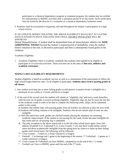participant in a chemical dependency program or treatment program, the student may be certified for reinstatement in MSHSL activities after a minimum period of six (6) weeks. Such certification must be issued by the director or a counselor of a chemical dependency treatment center.

4. Penalties shall be accumulative beginning with and throughout the student's participation in a high school activity.

IF AN ATHLETE DENIES VIOLATING THE ABOVE ELIGIBILITY RULES BUT AT A LATER DATE IS FOUND TO HAVE VIOLATED THAT RULE, DOUBLE PENALITIES WILL BE ENFORCED.

Denial Disqualification: A student shall be disqualified from all interscholastic athletics for **NINE ADDITIONAL WEEKS** beyond the student's original period of ineligibility when the student denies violation of the rule, is allowed to participate and then is subsequently found guilty of the violation.

Academic Eligibility

1. Academic Eligibility refers to academic standards that students must uphold to be eligible to participate in co-curricular activities. These activities are in the areas of **fine arts, athletics and academic extensions**.

# **MAPLE LAKE ELIGIBILITY REQUIREMENTS**

Student eligibility is based on academic success as well as a commitment of the participants to follow the high school league behavior rules. To be eligible to participate, **students must receive passing grades in all classes.**

- 1. Any student receiving one or more failing grades at mid-quarter or quarter break is ineligible for a minimum of two weeks or 2 events whichever is longer.
- 2. At the end of the second week the student will submit an "eligibility slip" and every week thereafter, until the next set of grades is issued verifying eligibility. Eligibility slips are due by noon the last day of the academic week in order to be able to compete the following week. (Slips can be submitted earlier in the week)
	- a) Students that submit slips with passing grades from all teachers are allowed to play the next week.
	- b) Students still failing continue to be ineligible. Students who do not submit slips on time are also ineligible.
	- c) After the initial first week, grades are checked weekly placing the emphasis on sustaining academic improvement. If the student is not passing for the week, he/she becomes ineligible for that week until an 'all passing' slip is submitted.
	- d) The only exception to the above stated rule is in the fall when school starts again. Since fall athletes (Football 9-12, Volleyball 9-12, Cross Country 7-12) start three weeks before school starts and those academically ineligible from the spring have no chance to make up their failing grades until school starts, the following will be followed.
	- \*\*  $\overline{C}$  Cross Country 2 meets or 2 weeks whichever is longest.
	- \* Football  $-1$  scrimmage and 1 game at the beginning of the season. \*\* Volleyball  $-2$  games or 2 weeks whichever is longest.
	- \*\* Cross Country & Volleyball can have MSHSL competitions at the end of the 1<sup>st</sup> 2 weeks.
	- \* Football can't have a MSHSL game until the end of the 3rd week.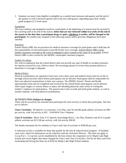3. Students can move from eligible to ineligible on a weekly basis between mid-quarter and the end of the quarter as well as between quarter-end to the next mid-quarter, depending upon their weekly grade progress (2-3 week span)

### Equipment

The exact uniform and equipment issued to a participant at the beginning of a season must be returned to the coaching staff at the end of the season. **Items that are not returned within two weeks of the end of the season or the date that a participant drops or quits, whichever is earlier, will be charged to the participant.** No student may compete in the following season unless previous obligations have been satisfied.

### Insurance

School District #881 has no provision for medical insurance coverage for participants and it shall thus be the responsibility of each participant to provide his/her own coverage. School District #881 carries liability insurance coverage in the event of negligence and is named as the cause of an accident. School District #881 is also covered by the MSHSL catastrophic insurance program.

### Student Accidents

We wish to emphasize that the school district does not provide any type of health or accident insurance for injuries incurred by your child at school. We encourage parents to review their present policies to determine if coverage is adequate.

### Medical Policy

Physical examinations are required at least once every three years and medical forms must be on file in the high school activities office before participation can be allowed. Participants shall be responsible for their own physical examinations at their own expense. The MSHSL Parents' Permit and Health Questionnaire must also be completed and received by the school before participation can be allowed. After major surgery or serious illness or injury, the attending physician must verify in writing the student's readiness for participation. The general rule is that seventh and tenth grade students, as well as transfer students, will need physical examinations.

# **ACTIVITY FEES (Subject to change)**

There will be an activity fee assessed each participant for each activity in which they participate. The fees are as follows:

**Class I Activities:** JH Speech, Co-curricular 3 Act Play, and 7th and 8th grade athletic activities are \$90 per activity, with 3rd activity at \$45. \$160.00/St Tim's Students

**Class II Activities:** Mock Trial, 9-12 Speech, Knowledge Bowl, 1 Act Play, Robotics and all 9-12 grade athletic activities are \$115.00 per activity, with 3rd activity \$58.00

The family maximum fee for students in Class I and Class II activities is \$500.00 per year.

A reduction in fees is available for those that qualify for the free & reduced lunch program. If hardship cases exist, check for information on fee reduction with the Activities Director. This does not apply to Co-op Fee's. Co-op fees can be established by the host school, the cooperative or by Maple Lake High School and can be higher than those charged for Class I and Class II activities. The fee for Boys and Girls Swimming and Diving has been set at \$230 for Maple Lake High School students.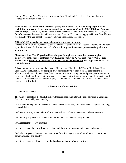Summer Marching Band: These fees are separate from Class I and Class II activities and do not go towards the maximum of fee caps.

**Reduction in fees available for those that qualify for the free & reduced lunch program. To be eligible for these reduced rates you must mark yes or no under #9 on the MLHS Rules of Conduct form and sign**. Data Privacy issues restrict us from checking who qualifies. If hardship cases exist, check for information on fee reduction with the Activities Director. This does not apply to Hockey Fees. Hockey fees are set by the host school or the cooperative and the hockey association.

# **All fees MUST be paid prior to participation in a practice or contest!**

In cases of injury or illness, transfer out of the district, or being cut from the squad, a refund will be made up until the time of the first contest. **NO refund will be given if a student quits an activity after the second week.**

# **Please note: Any 7th or 8th grade athlete who goes through the acceleration process to play on any level of the high school team (varsity, junior varsity or "C"squad) or any 7th or 8th grade athlete who is part of an activity which only has a senior high program must appear on our MSHSL eligibility form.**

All activity fees are to be remitted to Heather Haney in the High School Office at Maple Lake High School. Any reimbursement for fees paid must be initiated by a request from the participant to the advisor. The advisor will then advise the Activities Director in writing that said participant is entitled to the requested refund. Refunds will be given if participants quit within the first week of their practice or if injured within three weeks of the start of play. All monies for equipment and uniforms are to be collected in advance of distribution.

# **Athletic Code of Responsibility**

A. Conduct of Athletes

The member schools of the MSHSL believe that participation in inter-scholastic activities is a privilege that is accompanied by responsibility.

As a student participating in my school's interscholastic activities, I understand and accept the following responsibilities:

I will respect the rights and beliefs of others and will treat others with courtesy and consideration.

I will be fully responsible for my own actions and the consequences of my actions.

I will respect the property of others.

I will respect and obey the rules of my school and the laws of my community, state and country.

I will show respect to those who are responsible for enforcing the rules of my school and laws of my community, state and country.

I will treat opponents with respect: **shake hands prior to and after all contests.**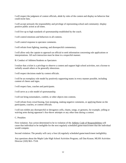I will respect the judgment of contest officials, abide by rules of the contest and display no behavior that could incite fans.

I will accept seriously the responsibility and privilege of representing school and community: display positive public action at all times.

I will live up to high standards of sportsmanship established by the coach.

I will control emotions and behaviors in all contests.

I will control response to spectator comments.

I will refrain from fighting, taunting, and disrespectful commentary.

I will allow only the captain to approach an official to seek information concerning rule applications or interpretations. All such interaction must be done in a respectful manner.

B. Conduct of Athletes/Students as Spectators

I realize that a ticket is a privilege to observe a contest and support high school activities, not a license to verbally assault others or be generally obnoxious.

I will respect decisions made by contest officials.

I will be an exemplary role model by positively supporting teams in every manner possible, including content of cheers and signs.

I will respect fans, coaches and participants.

I will serve as a role model of sportsmanship.

I will not bring noisemakers, confetti, or other objects into contests.

I will refrain from crowd booing, foot stomping, making negative comments, or applying blame on the participants, coaches, or contest officials.

I will not exhibit any disrespectful or derogatory yells, chants, songs, or gestures, for example, yelling or waiving arms during opponent's free-throw attempts or any other time during a contest.

C. Penalties

First violation: Any action determined to be in violation of the Athletic Code of Responsibilities will cause that individual to be ineligible for the next regularly scheduled game/match/meet that the individual would compete.

Second violation: The penalty will carry a four (4) regularly scheduled game/match/meet ineligibility.

Any questions about the Maple Lake High School Activities Program, call Dan Krause, MLHS Activities Director (320) 963--7518.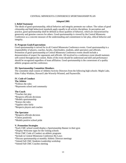# CENTRAL MINNESOTA CONFERENCE SPORTSMANSHIP PLAN

## **Adopted 2001**

# **I. Belief Statement**

The ideals of good sportsmanship, ethical behavior and integrity permeate our culture. The values of good citizenship and high behavioral standards apply equally to all activity disciplines. In perception and practice, good sportsmanship shall be defined as those qualities of behavior, which are characterized by generosity and genuine concern for others. Good sportsmanship is viewed by the Central Minnesota Conference as a concrete measure of the understanding and commitment to fair play, ethical behavior and integrity.

# **II. Program Goals/Expectations**

Good sportsmanship is strived for in all Central Minnesota Conference events. Good sportsmanship is a responsibility of players, coaches, faculty, cheerleaders, students, adult spectators and officials. Promotion of good sportsmanship at Central Minnesota Conference events should include a demonstration of respect for opponents and officials. All involved in a conference event should maintain self-control throughout the contest. Rules of the event should be understood and skill and performance should be recognized regardless of team affiliation. Good sportsmanship is the cornerstone of a quality athletic program and the conference.

### **III. Sportsmanship Committee Members**

The committee shall consist of Athletic/Activity Directors from the following high schools: Maple Lake, Eden Valley-Watkins, Howard Lake-Waverly-Winsted, and Paynesville.

# **IV. Code of Conduct**

**The Athlete** \*Follows the rules \*Represents school and community

# **The Coach**

\*Teaches fair play \*Respects officials decisions \*Models sportsmanship \*Knows the rules \*Applies rules fairly \*Respects players and coaches

# **The Spectator**

\*Respects officials decision \*Cheers positively \*Models positive school pride

# **V. Promotion Strategies**

\*Each CMC school would display a Sportsmanship Banner in their gym \*Display Welcome signs for the visiting schools \*Print CMC Code of Conduct on athletic programs \*Include in Central Minnesota Conference By-Laws \*Discuss sportsmanship at monthly Athletic Director meetings \*Attend Fall CMC Students-Leadership workshop \*Attend Fall CMC Coaches meeting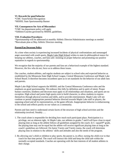# **VI. Rewards for good behavior**

\*CMC Team/School Recognition \*MSHSL State Sportsmanship Banner

### **VII. Consequences for Acts of Misconduct**

\*CMC fan deportment policy will apply \*Athletes/Coaches governed by MSHSL guidelines.

### **VIII. Evaluation Procedures**

\*Sportsmanship will be addressed at monthly Athletic Director/Administrator meetings as needed. \*Reevaluate plan at May Athletic Directors meeting.

### **Parent/Fan Decorum Policy**

At a time when society is experiencing increased incidents of physical confrontations and unmanaged anger associated with youth sports, Maple Lake High School wishes to state its philosophical stance for keeping our athletes, coaches, and fans safe: insisting on proper behavior and promoting our positive reputation in regards to sportsmanship.

We recognize that the majority of our parents and fans set a behavioral example of the highest standard. However, the few who do not, force us to address these issues.

Our coaches, student-athletes, and regular students are subject to school rules and expected behavior as established by the Minnesota State High School League, Central Minnesota Conference and Maple Lake School Board. It therefore becomes incumbent upon us to set standards for the behavior of our adult fans and parents.

Maple Lake High School supports the MSHSL and the Central Minnesota Conference rules and the emphasis on good sportsmanship. We embrace this fully by definition and in spirit of intent. Proper human courtesies, kindness and decorum must apply to all relationships and situations, and sports are no exception. High school and junior high sports exist to build character, to allow students to express themselves through physical exertion and skills, and to provide entertainment. Maple Lake will not condone or permit inappropriate parental behavior directed towards Maple Lake staff or players, the opposing school and all its representatives, or the game officials. Inappropriate behavior is embarrassing to the school and reflects poorly on our values as a community.

Parents and fans need to understand certain facets of the structure of high school activities and the relationship involved. Notably . . .

- 1. The coach alone is responsible for deciding how much each participant plays. Participation is a privilege, not an inherent right. At Maple Lake, our athletes in grades 7 and 8 will have close to equal playing time as long as the athlete follows all guidelines assigned by the coach. In  $C$ - squad/9<sup>th</sup> grade, the playing time may not be equal but the athlete will receive significant playing time as long as the coach's guidelines are followed. On Junior Varsity and Varsity teams, the coach will determine playing time in relation to the athletes' skills and attitudes and also the needs of the program.
- 2. By allowing one's child or children to play sports, the parent is, in effect, turning the child over to that coach for that time period. The coach will instruct the child and keep the child safe within the normally accepted standards. Coaches are operating with the best interests of all student athletes in their charge.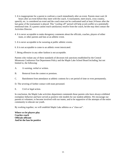- 3. It is inappropriate for a parent to confront a coach immediately after an event. Parents must wait 24 hours after an event before they meet with the coach. A tournament, meet (track, cross country, speech), etc. is considered an event and the coach must not be confronted until at least 24 hours after the last game of the tournament is played. This "cooling off" period will help avoid conflict at a potentially emotional time. If a parent cannot reach satisfactory resolve from the coach, he/she may then contact the Activities Director.
- 4. It is never acceptable to make derogatory comments about the officials, coaches, players of either team, or other parents and fans at an athletic event.
- 5. It is never acceptable to be swearing at public athletic events.
- 6. It is not acceptable to come to an athletic event intoxicated.
- 7. Being offensive in any other fashion is not acceptable.

Parents who violate any of these standards of decorum risk sanctions established by the Central Minnesota Conference Fan Deportment Policy and the Maple Lake School Board including, but not limited to, the following:

- A. A warning, verbal or written.
- B. Removal from the contest or premises.
- C. Banishment from attendance at athletic contests for a set period of time or even permanently.
- D. The severing of further contact with team personnel.
- E. Civil or legal action.

In conclusion, the Maple Lake activities department commends those parents who have always exhibited exemplary behavior and have served as positive role models for our student-athletes. We encourage our parents to volunteer, to become involved with our teams, and to be supportive of the attempts of the entire community to educate our youth.

By working together, we will establish Maple Lake athletes as a "class act".

**Where we let players play Coaches coach Officials officiate And let the fans be positive**